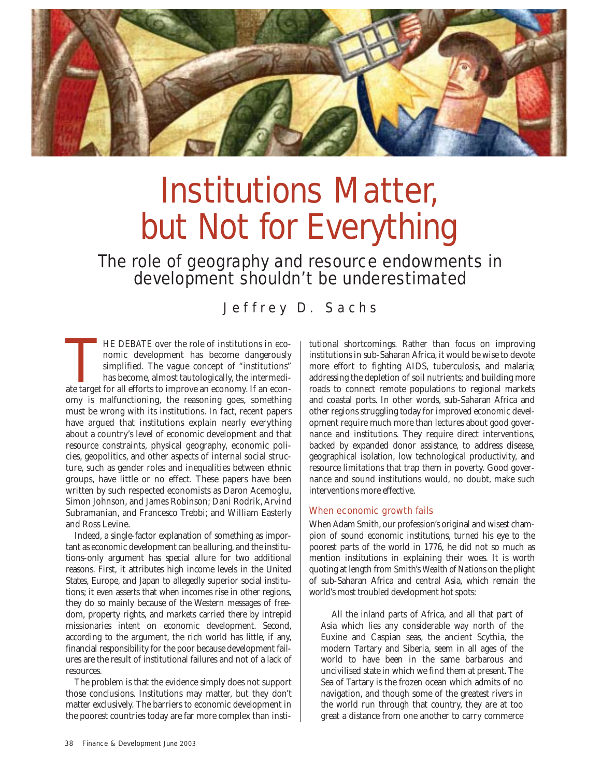

# Institutions Matter, but Not for Everything

The role of geography and resource endowments in development shouldn't be underestimated

*Jeffrey D. Sachs*

HE DEBATE over the role of institutions in economic development has become dangerously simplified. The vague concept of "institutions" has become, almost tautologically, the intermedi-HE DEBATE over the role of institutions in economic development has become dangerously simplified. The vague concept of "institutions" has become, almost tautologically, the intermediate target for all efforts to improve a omy is malfunctioning, the reasoning goes, something must be wrong with its institutions. In fact, recent papers have argued that institutions explain nearly everything about a country's level of economic development and that resource constraints, physical geography, economic policies, geopolitics, and other aspects of internal social structure, such as gender roles and inequalities between ethnic groups, have little or no effect. These papers have been written by such respected economists as Daron Acemoglu, Simon Johnson, and James Robinson; Dani Rodrik, Arvind Subramanian, and Francesco Trebbi; and William Easterly and Ross Levine.

Indeed, a single-factor explanation of something as important as economic development can be alluring, and the institutions-only argument has special allure for two additional reasons. First, it attributes high income levels in the United States, Europe, and Japan to allegedly superior social institutions; it even asserts that when incomes rise in other regions, they do so mainly because of the Western messages of freedom, property rights, and markets carried there by intrepid missionaries intent on economic development. Second, according to the argument, the rich world has little, if any, financial responsibility for the poor because development failures are the result of institutional failures and not of a lack of resources.

The problem is that the evidence simply does not support those conclusions. Institutions may matter, but they don't matter exclusively. The barriers to economic development in the poorest countries today are far more complex than institutional shortcomings. Rather than focus on improving institutions in sub-Saharan Africa, it would be wise to devote more effort to fighting AIDS, tuberculosis, and malaria; addressing the depletion of soil nutrients; and building more roads to connect remote populations to regional markets and coastal ports. In other words, sub-Saharan Africa and other regions struggling today for improved economic development require much more than lectures about good governance and institutions. They require direct interventions, backed by expanded donor assistance, to address disease, geographical isolation, low technological productivity, and resource limitations that trap them in poverty. Good governance and sound institutions would, no doubt, make such interventions more effective.

### When economic growth fails

When Adam Smith, our profession's original and wisest champion of sound economic institutions, turned his eye to the poorest parts of the world in 1776, he did not so much as mention institutions in explaining their woes. It is worth quoting at length from Smith's *Wealth of Nations* on the plight of sub-Saharan Africa and central Asia, which remain the world's most troubled development hot spots:

All the inland parts of Africa, and all that part of Asia which lies any considerable way north of the Euxine and Caspian seas, the ancient Scythia, the modern Tartary and Siberia, seem in all ages of the world to have been in the same barbarous and uncivilised state in which we find them at present. The Sea of Tartary is the frozen ocean which admits of no navigation, and though some of the greatest rivers in the world run through that country, they are at too great a distance from one another to carry commerce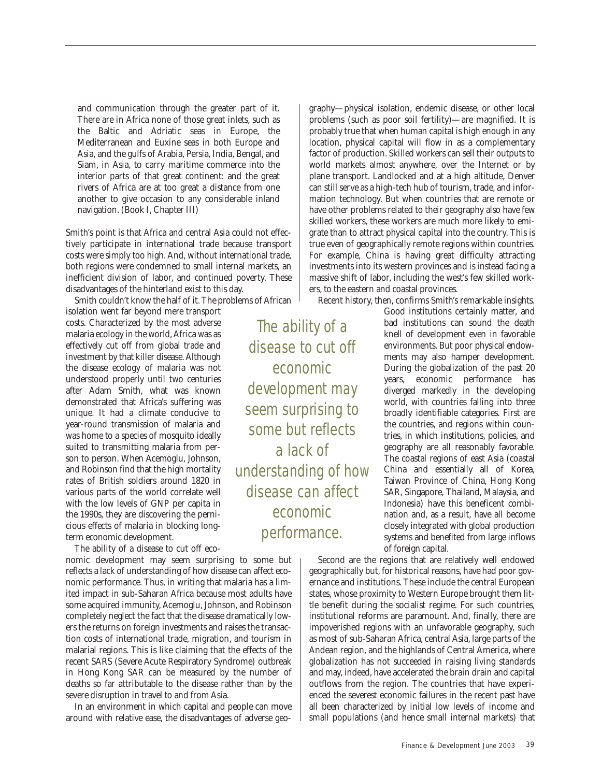and communication through the greater part of it. There are in Africa none of those great inlets, such as the Baltic and Adriatic seas in Europe, the Mediterranean and Euxine seas in both Europe and Asia, and the gulfs of Arabia, Persia, India, Bengal, and Siam, in Asia, to carry maritime commerce into the interior parts of that great continent: and the great rivers of Africa are at too great a distance from one another to give occasion to any considerable inland navigation. (Book I, Chapter III)

Smith's point is that Africa and central Asia could not effectively participate in international trade because transport costs were simply too high. And, without international trade, both regions were condemned to small internal markets, an inefficient division of labor, and continued poverty. These disadvantages of the hinterland exist to this day.

Smith couldn't know the half of it. The problems of African

isolation went far beyond mere transport costs. Characterized by the most adverse malaria ecology in the world, Africa was as effectively cut off from global trade and investment by that killer disease. Although the disease ecology of malaria was not understood properly until two centuries after Adam Smith, what was known demonstrated that Africa's suffering was unique. It had a climate conducive to year-round transmission of malaria and was home to a species of mosquito ideally suited to transmitting malaria from person to person. When Acemoglu, Johnson, and Robinson find that the high mortality rates of British soldiers around 1820 in various parts of the world correlate well with the low levels of GNP per capita in the 1990s, they are discovering the pernicious effects of malaria in blocking longterm economic development.

The ability of a disease to cut off eco-

nomic development may seem surprising to some but reflects a lack of understanding of how disease can affect economic performance. Thus, in writing that malaria has a limited impact in sub-Saharan Africa because most adults have some acquired immunity, Acemoglu, Johnson, and Robinson completely neglect the fact that the disease dramatically lowers the returns on foreign investments and raises the transaction costs of international trade, migration, and tourism in malarial regions. This is like claiming that the effects of the recent SARS (Severe Acute Respiratory Syndrome) outbreak in Hong Kong SAR can be measured by the number of deaths so far attributable to the disease rather than by the severe disruption in travel to and from Asia.

In an environment in which capital and people can move around with relative ease, the disadvantages of adverse geo-

The ability of a disease to cut off economic development may seem surprising to some but reflects a lack of understanding of how disease can affect economic performance.

graphy—physical isolation, endemic disease, or other local problems (such as poor soil fertility)—are magnified. It is probably true that when human capital is high enough in any location, physical capital will flow in as a complementary factor of production. Skilled workers can sell their outputs to world markets almost anywhere, over the Internet or by plane transport. Landlocked and at a high altitude, Denver can still serve as a high-tech hub of tourism, trade, and information technology. But when countries that are remote or have other problems related to their geography also have few skilled workers, these workers are much more likely to emigrate than to attract physical capital into the country. This is true even of geographically remote regions within countries. For example, China is having great difficulty attracting investments into its western provinces and is instead facing a massive shift of labor, including the west's few skilled workers, to the eastern and coastal provinces.

Recent history, then, confirms Smith's remarkable insights.

Good institutions certainly matter, and bad institutions can sound the death knell of development even in favorable environments. But poor physical endowments may also hamper development. During the globalization of the past 20 years, economic performance has diverged markedly in the developing world, with countries falling into three broadly identifiable categories. First are the countries, and regions within countries, in which institutions, policies, and geography are all reasonably favorable. The coastal regions of east Asia (coastal China and essentially all of Korea, Taiwan Province of China, Hong Kong SAR, Singapore, Thailand, Malaysia, and Indonesia) have this beneficent combination and, as a result, have all become closely integrated with global production systems and benefited from large inflows of foreign capital.

Second are the regions that are relatively well endowed geographically but, for historical reasons, have had poor governance and institutions. These include the central European states, whose proximity to Western Europe brought them little benefit during the socialist regime. For such countries, institutional reforms are paramount. And, finally, there are impoverished regions with an unfavorable geography, such as most of sub-Saharan Africa, central Asia, large parts of the Andean region, and the highlands of Central America, where globalization has not succeeded in raising living standards and may, indeed, have accelerated the brain drain and capital outflows from the region. The countries that have experienced the severest economic failures in the recent past have all been characterized by initial low levels of income and small populations (and hence small internal markets) that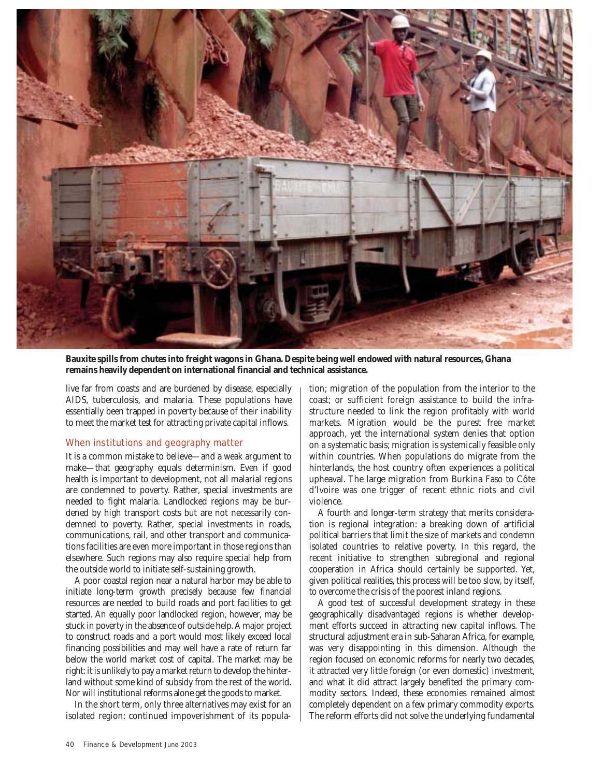

**Bauxite spills from chutes into freight wagons in Ghana. Despite being well endowed with natural resources, Ghana remains heavily dependent on international financial and technical assistance.**

live far from coasts and are burdened by disease, especially AIDS, tuberculosis, and malaria. These populations have essentially been trapped in poverty because of their inability to meet the market test for attracting private capital inflows.

## When institutions *and* geography matter

It is a common mistake to believe—and a weak argument to make—that geography equals determinism. Even if good health is important to development, not all malarial regions are condemned to poverty. Rather, special investments are needed to fight malaria. Landlocked regions may be burdened by high transport costs but are not necessarily condemned to poverty. Rather, special investments in roads, communications, rail, and other transport and communications facilities are even more important in those regions than elsewhere. Such regions may also require special help from the outside world to initiate self-sustaining growth.

A poor coastal region near a natural harbor may be able to initiate long-term growth precisely because few financial resources are needed to build roads and port facilities to get started. An equally poor landlocked region, however, may be stuck in poverty in the absence of outside help. A major project to construct roads and a port would most likely exceed local financing possibilities and may well have a rate of return far below the world market cost of capital. The market may be right: it is unlikely to pay a market return to develop the hinterland without some kind of subsidy from the rest of the world. Nor will institutional reforms alone get the goods to market.

In the short term, only three alternatives may exist for an isolated region: continued impoverishment of its population; migration of the population from the interior to the coast; or sufficient foreign assistance to build the infrastructure needed to link the region profitably with world markets. Migration would be the purest free market approach, yet the international system denies that option on a systematic basis; migration is systemically feasible only within countries. When populations do migrate from the hinterlands, the host country often experiences a political upheaval. The large migration from Burkina Faso to Côte d'Ivoire was one trigger of recent ethnic riots and civil violence.

A fourth and longer-term strategy that merits consideration is regional integration: a breaking down of artificial political barriers that limit the size of markets and condemn isolated countries to relative poverty. In this regard, the recent initiative to strengthen subregional and regional cooperation in Africa should certainly be supported. Yet, given political realities, this process will be too slow, by itself, to overcome the crisis of the poorest inland regions.

A good test of successful development strategy in these geographically disadvantaged regions is whether development efforts succeed in attracting new capital inflows. The structural adjustment era in sub-Saharan Africa, for example, was very disappointing in this dimension. Although the region focused on economic reforms for nearly two decades, it attracted very little foreign (or even domestic) investment, and what it did attract largely benefited the primary commodity sectors. Indeed, these economies remained almost completely dependent on a few primary commodity exports. The reform efforts did not solve the underlying fundamental